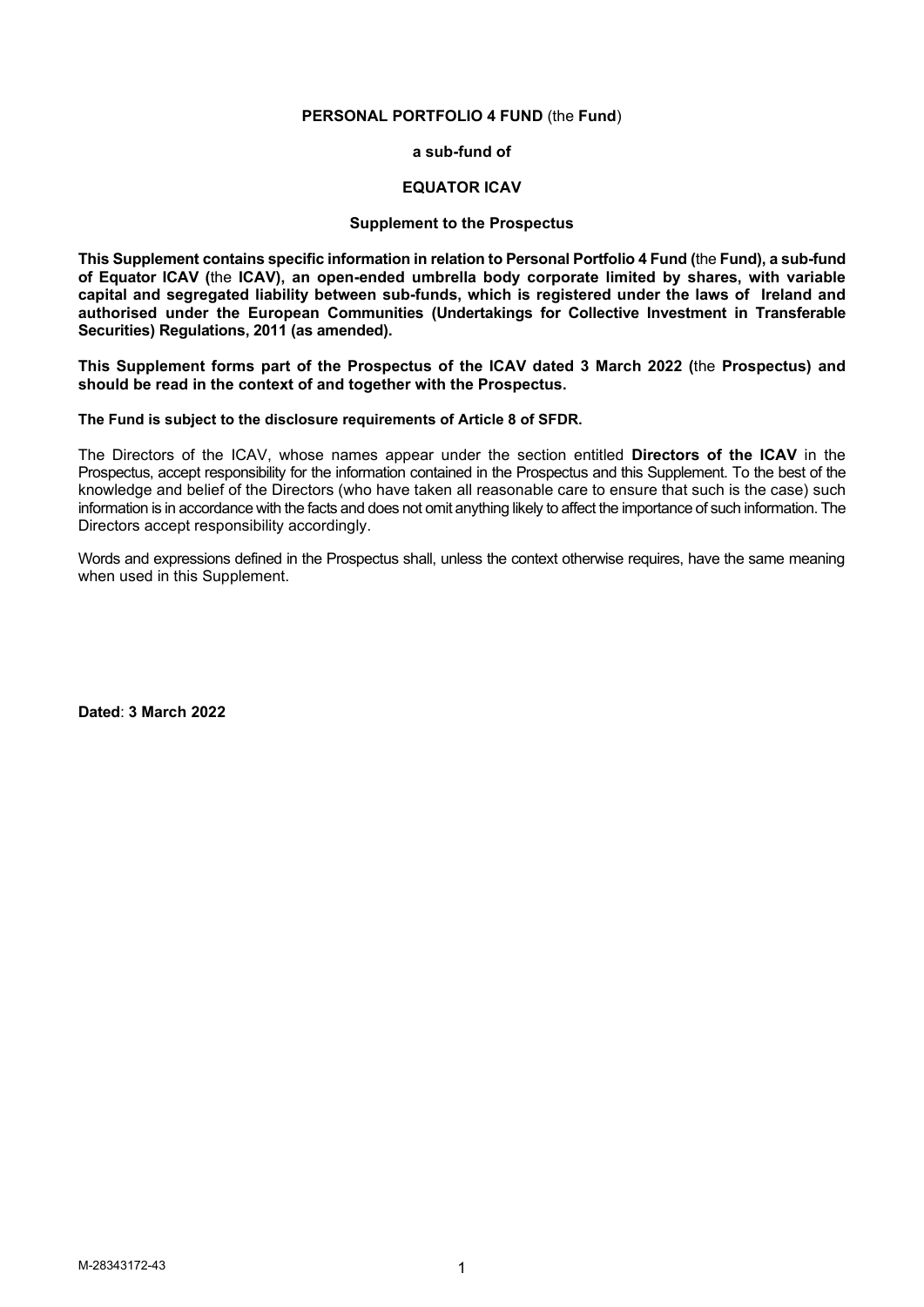### **PERSONAL PORTFOLIO 4 FUND** (the **Fund**)

**a sub-fund of** 

### **EQUATOR ICAV**

### **Supplement to the Prospectus**

**This Supplement contains specific information in relation to Personal Portfolio 4 Fund (**the **Fund), a sub-fund of Equator ICAV (**the **ICAV), an open-ended umbrella body corporate limited by shares, with variable capital and segregated liability between sub-funds, which is registered under the laws of Ireland and authorised under the European Communities (Undertakings for Collective Investment in Transferable Securities) Regulations, 2011 (as amended).** 

**This Supplement forms part of the Prospectus of the ICAV dated 3 March 2022 (**the **Prospectus) and should be read in the context of and together with the Prospectus.** 

**The Fund is subject to the disclosure requirements of Article 8 of SFDR.**

The Directors of the ICAV, whose names appear under the section entitled **Directors of the ICAV** in the Prospectus, accept responsibility for the information contained in the Prospectus and this Supplement. To the best of the knowledge and belief of the Directors (who have taken all reasonable care to ensure that such is the case) such information is in accordance with the facts and does not omit anything likely to affect the importance of such information. The Directors accept responsibility accordingly.

Words and expressions defined in the Prospectus shall, unless the context otherwise requires, have the same meaning when used in this Supplement.

**Dated**: **3 March 2022**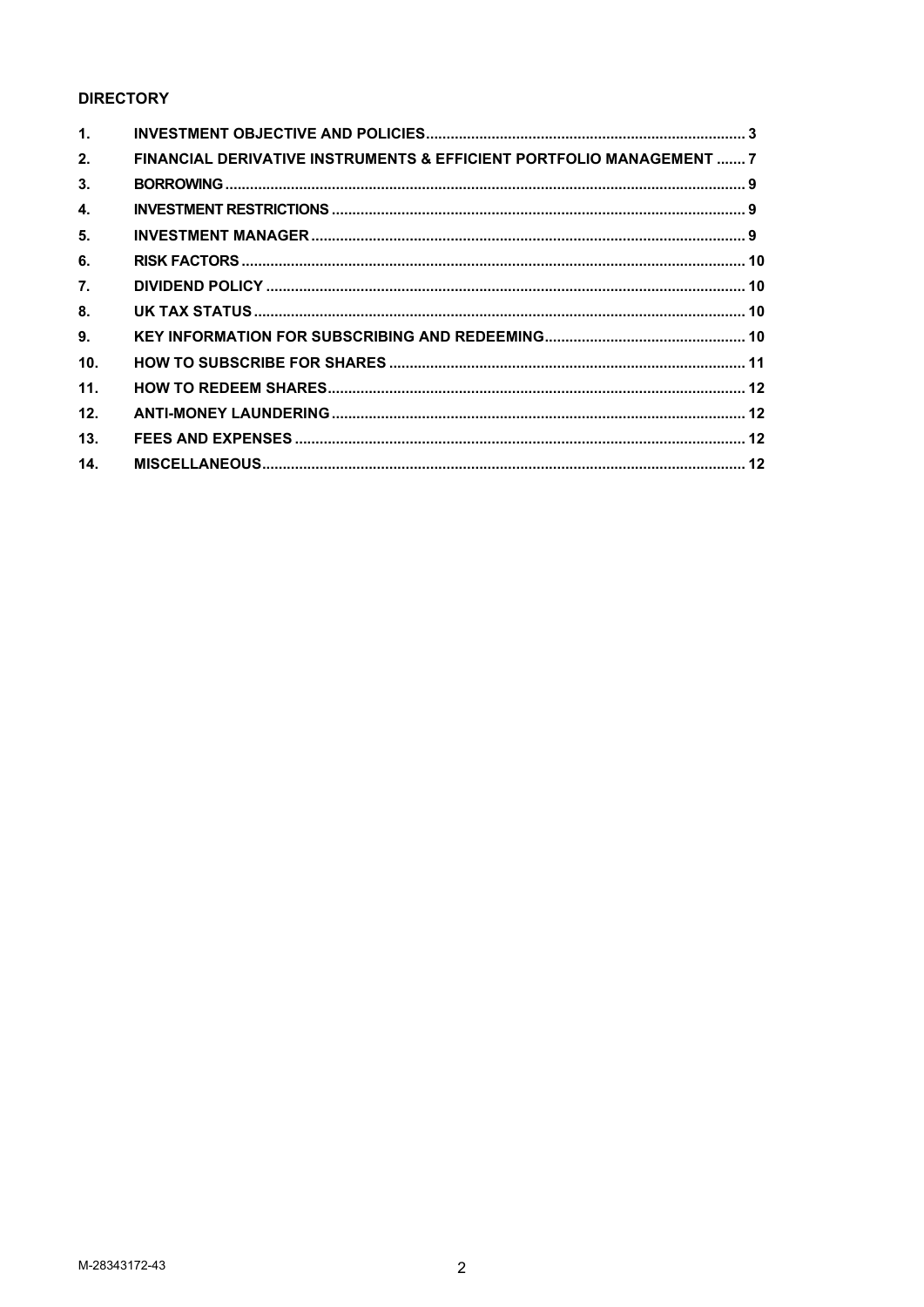# **DIRECTORY**

| $\mathbf{1}$ . |                                                                      |  |
|----------------|----------------------------------------------------------------------|--|
| 2.             | FINANCIAL DERIVATIVE INSTRUMENTS & EFFICIENT PORTFOLIO MANAGEMENT  7 |  |
| 3.             |                                                                      |  |
| 4.             |                                                                      |  |
| 5.             |                                                                      |  |
| 6.             |                                                                      |  |
| 7.             |                                                                      |  |
| 8.             |                                                                      |  |
| 9.             |                                                                      |  |
| 10.            |                                                                      |  |
| 11.            |                                                                      |  |
| 12.            |                                                                      |  |
| 13.            |                                                                      |  |
| 14.            |                                                                      |  |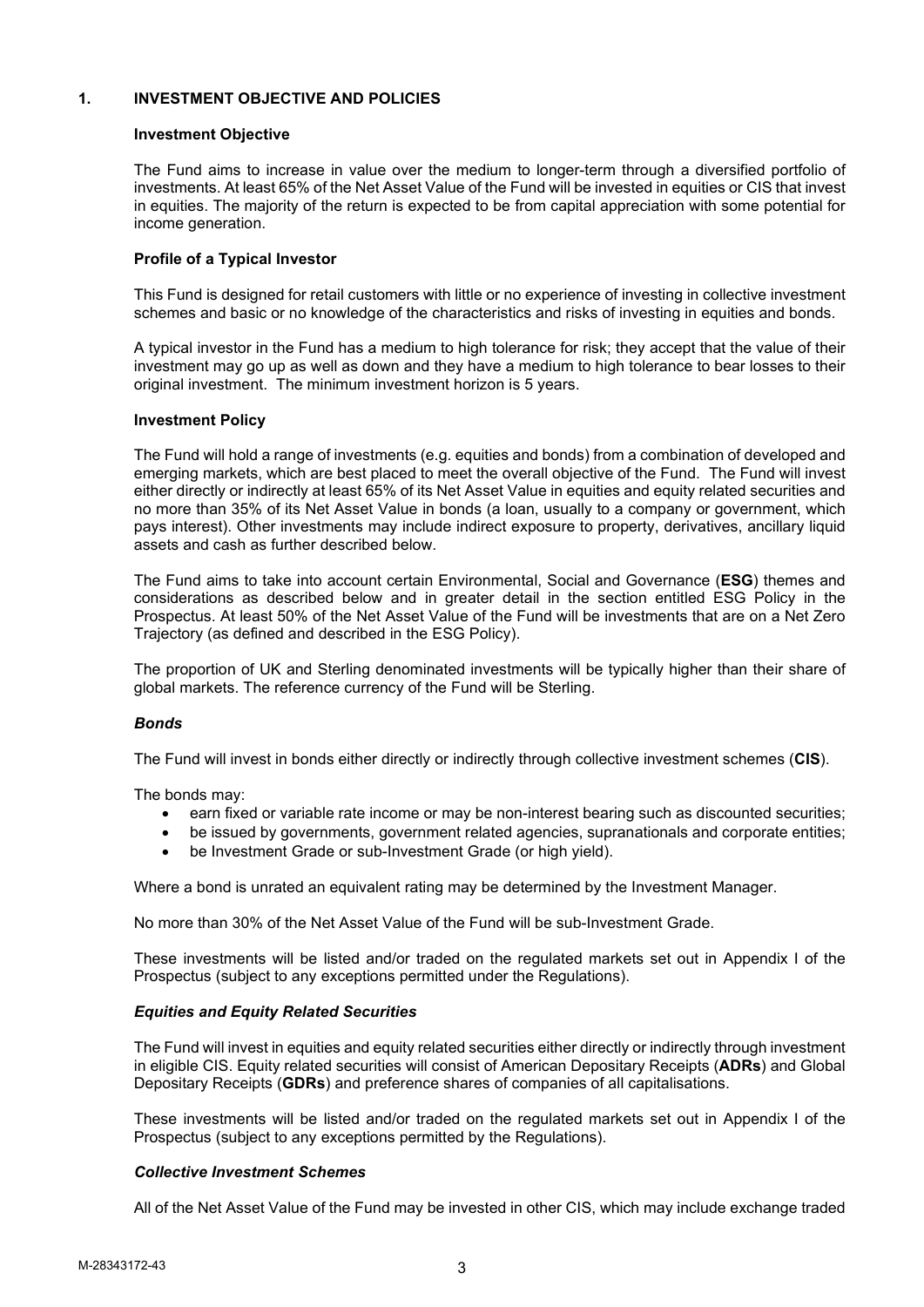## **1. INVESTMENT OBJECTIVE AND POLICIES**

### **Investment Objective**

The Fund aims to increase in value over the medium to longer-term through a diversified portfolio of investments. At least 65% of the Net Asset Value of the Fund will be invested in equities or CIS that invest in equities. The majority of the return is expected to be from capital appreciation with some potential for income generation.

## **Profile of a Typical Investor**

This Fund is designed for retail customers with little or no experience of investing in collective investment schemes and basic or no knowledge of the characteristics and risks of investing in equities and bonds.

A typical investor in the Fund has a medium to high tolerance for risk; they accept that the value of their investment may go up as well as down and they have a medium to high tolerance to bear losses to their original investment. The minimum investment horizon is 5 years.

### **Investment Policy**

The Fund will hold a range of investments (e.g. equities and bonds) from a combination of developed and emerging markets, which are best placed to meet the overall objective of the Fund. The Fund will invest either directly or indirectly at least 65% of its Net Asset Value in equities and equity related securities and no more than 35% of its Net Asset Value in bonds (a loan, usually to a company or government, which pays interest). Other investments may include indirect exposure to property, derivatives, ancillary liquid assets and cash as further described below.

The Fund aims to take into account certain Environmental, Social and Governance (**ESG**) themes and considerations as described below and in greater detail in the section entitled ESG Policy in the Prospectus. At least 50% of the Net Asset Value of the Fund will be investments that are on a Net Zero Trajectory (as defined and described in the ESG Policy).

The proportion of UK and Sterling denominated investments will be typically higher than their share of global markets. The reference currency of the Fund will be Sterling.

### *Bonds*

The Fund will invest in bonds either directly or indirectly through collective investment schemes (**CIS**).

The bonds may:

- earn fixed or variable rate income or may be non-interest bearing such as discounted securities;
- be issued by governments, government related agencies, supranationals and corporate entities;
- be Investment Grade or sub-Investment Grade (or high yield).

Where a bond is unrated an equivalent rating may be determined by the Investment Manager.

No more than 30% of the Net Asset Value of the Fund will be sub-Investment Grade.

These investments will be listed and/or traded on the regulated markets set out in Appendix I of the Prospectus (subject to any exceptions permitted under the Regulations).

## *Equities and Equity Related Securities*

The Fund will invest in equities and equity related securities either directly or indirectly through investment in eligible CIS. Equity related securities will consist of American Depositary Receipts (**ADRs**) and Global Depositary Receipts (**GDRs**) and preference shares of companies of all capitalisations.

These investments will be listed and/or traded on the regulated markets set out in Appendix I of the Prospectus (subject to any exceptions permitted by the Regulations).

### *Collective Investment Schemes*

All of the Net Asset Value of the Fund may be invested in other CIS, which may include exchange traded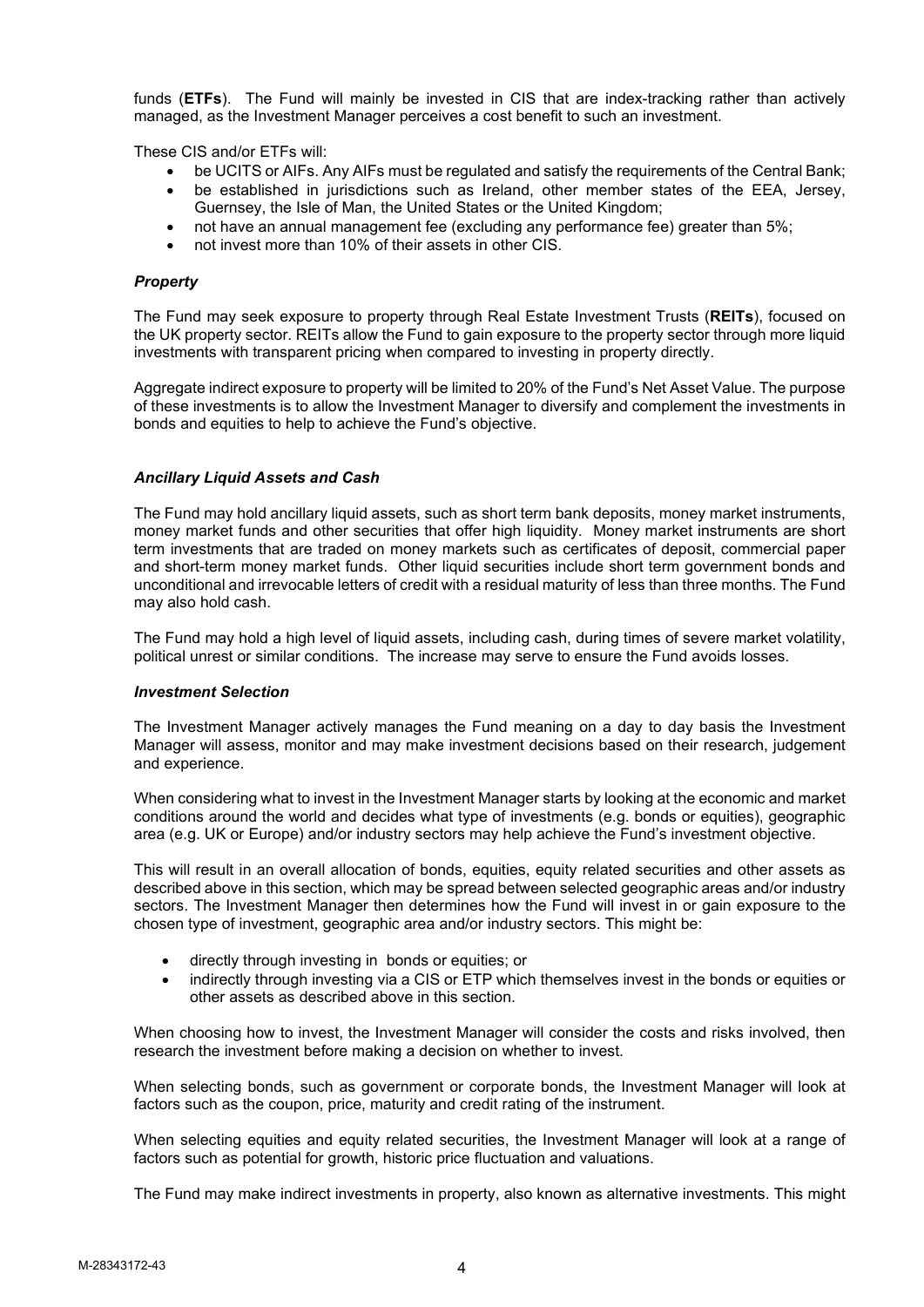funds (**ETFs**). The Fund will mainly be invested in CIS that are index-tracking rather than actively managed, as the Investment Manager perceives a cost benefit to such an investment.

These CIS and/or ETFs will:

- be UCITS or AIFs. Any AIFs must be regulated and satisfy the requirements of the Central Bank;
- be established in jurisdictions such as Ireland, other member states of the EEA, Jersey, Guernsey, the Isle of Man, the United States or the United Kingdom;
- not have an annual management fee (excluding any performance fee) greater than 5%;
- not invest more than 10% of their assets in other CIS.

### *Property*

The Fund may seek exposure to property through Real Estate Investment Trusts (**REITs**), focused on the UK property sector. REITs allow the Fund to gain exposure to the property sector through more liquid investments with transparent pricing when compared to investing in property directly.

Aggregate indirect exposure to property will be limited to 20% of the Fund's Net Asset Value. The purpose of these investments is to allow the Investment Manager to diversify and complement the investments in bonds and equities to help to achieve the Fund's objective.

### *Ancillary Liquid Assets and Cash*

The Fund may hold ancillary liquid assets, such as short term bank deposits, money market instruments, money market funds and other securities that offer high liquidity. Money market instruments are short term investments that are traded on money markets such as certificates of deposit, commercial paper and short-term money market funds. Other liquid securities include short term government bonds and unconditional and irrevocable letters of credit with a residual maturity of less than three months. The Fund may also hold cash.

The Fund may hold a high level of liquid assets, including cash, during times of severe market volatility, political unrest or similar conditions. The increase may serve to ensure the Fund avoids losses.

### *Investment Selection*

The Investment Manager actively manages the Fund meaning on a day to day basis the Investment Manager will assess, monitor and may make investment decisions based on their research, judgement and experience.

When considering what to invest in the Investment Manager starts by looking at the economic and market conditions around the world and decides what type of investments (e.g. bonds or equities), geographic area (e.g. UK or Europe) and/or industry sectors may help achieve the Fund's investment objective.

This will result in an overall allocation of bonds, equities, equity related securities and other assets as described above in this section, which may be spread between selected geographic areas and/or industry sectors. The Investment Manager then determines how the Fund will invest in or gain exposure to the chosen type of investment, geographic area and/or industry sectors. This might be:

- directly through investing in bonds or equities; or
- indirectly through investing via a CIS or ETP which themselves invest in the bonds or equities or other assets as described above in this section.

When choosing how to invest, the Investment Manager will consider the costs and risks involved, then research the investment before making a decision on whether to invest.

When selecting bonds, such as government or corporate bonds, the Investment Manager will look at factors such as the coupon, price, maturity and credit rating of the instrument.

When selecting equities and equity related securities, the Investment Manager will look at a range of factors such as potential for growth, historic price fluctuation and valuations.

The Fund may make indirect investments in property, also known as alternative investments. This might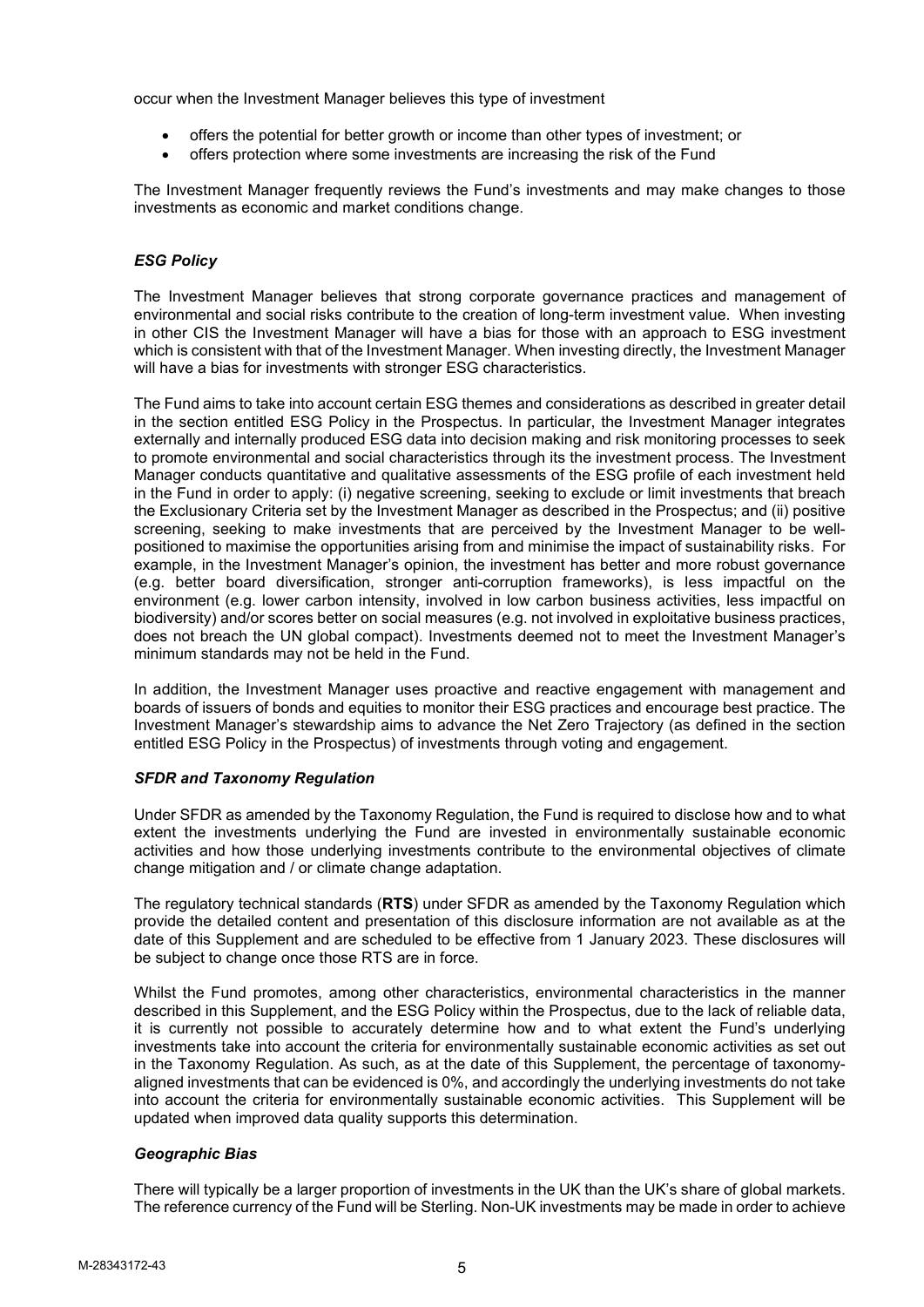occur when the Investment Manager believes this type of investment

- offers the potential for better growth or income than other types of investment; or
- offers protection where some investments are increasing the risk of the Fund

The Investment Manager frequently reviews the Fund's investments and may make changes to those investments as economic and market conditions change.

## *ESG Policy*

The Investment Manager believes that strong corporate governance practices and management of environmental and social risks contribute to the creation of long-term investment value. When investing in other CIS the Investment Manager will have a bias for those with an approach to ESG investment which is consistent with that of the Investment Manager. When investing directly, the Investment Manager will have a bias for investments with stronger ESG characteristics.

The Fund aims to take into account certain ESG themes and considerations as described in greater detail in the section entitled ESG Policy in the Prospectus. In particular, the Investment Manager integrates externally and internally produced ESG data into decision making and risk monitoring processes to seek to promote environmental and social characteristics through its the investment process. The Investment Manager conducts quantitative and qualitative assessments of the ESG profile of each investment held in the Fund in order to apply: (i) negative screening, seeking to exclude or limit investments that breach the Exclusionary Criteria set by the Investment Manager as described in the Prospectus; and (ii) positive screening, seeking to make investments that are perceived by the Investment Manager to be wellpositioned to maximise the opportunities arising from and minimise the impact of sustainability risks. For example, in the Investment Manager's opinion, the investment has better and more robust governance (e.g. better board diversification, stronger anti-corruption frameworks), is less impactful on the environment (e.g. lower carbon intensity, involved in low carbon business activities, less impactful on biodiversity) and/or scores better on social measures (e.g. not involved in exploitative business practices, does not breach the UN global compact). Investments deemed not to meet the Investment Manager's minimum standards may not be held in the Fund.

In addition, the Investment Manager uses proactive and reactive engagement with management and boards of issuers of bonds and equities to monitor their ESG practices and encourage best practice. The Investment Manager's stewardship aims to advance the Net Zero Trajectory (as defined in the section entitled ESG Policy in the Prospectus) of investments through voting and engagement.

## *SFDR and Taxonomy Regulation*

Under SFDR as amended by the Taxonomy Regulation, the Fund is required to disclose how and to what extent the investments underlying the Fund are invested in environmentally sustainable economic activities and how those underlying investments contribute to the environmental objectives of climate change mitigation and / or climate change adaptation.

The regulatory technical standards (**RTS**) under SFDR as amended by the Taxonomy Regulation which provide the detailed content and presentation of this disclosure information are not available as at the date of this Supplement and are scheduled to be effective from 1 January 2023. These disclosures will be subject to change once those RTS are in force.

Whilst the Fund promotes, among other characteristics, environmental characteristics in the manner described in this Supplement, and the ESG Policy within the Prospectus, due to the lack of reliable data, it is currently not possible to accurately determine how and to what extent the Fund's underlying investments take into account the criteria for environmentally sustainable economic activities as set out in the Taxonomy Regulation. As such, as at the date of this Supplement, the percentage of taxonomyaligned investments that can be evidenced is 0%, and accordingly the underlying investments do not take into account the criteria for environmentally sustainable economic activities. This Supplement will be updated when improved data quality supports this determination.

## *Geographic Bias*

There will typically be a larger proportion of investments in the UK than the UK's share of global markets. The reference currency of the Fund will be Sterling. Non-UK investments may be made in order to achieve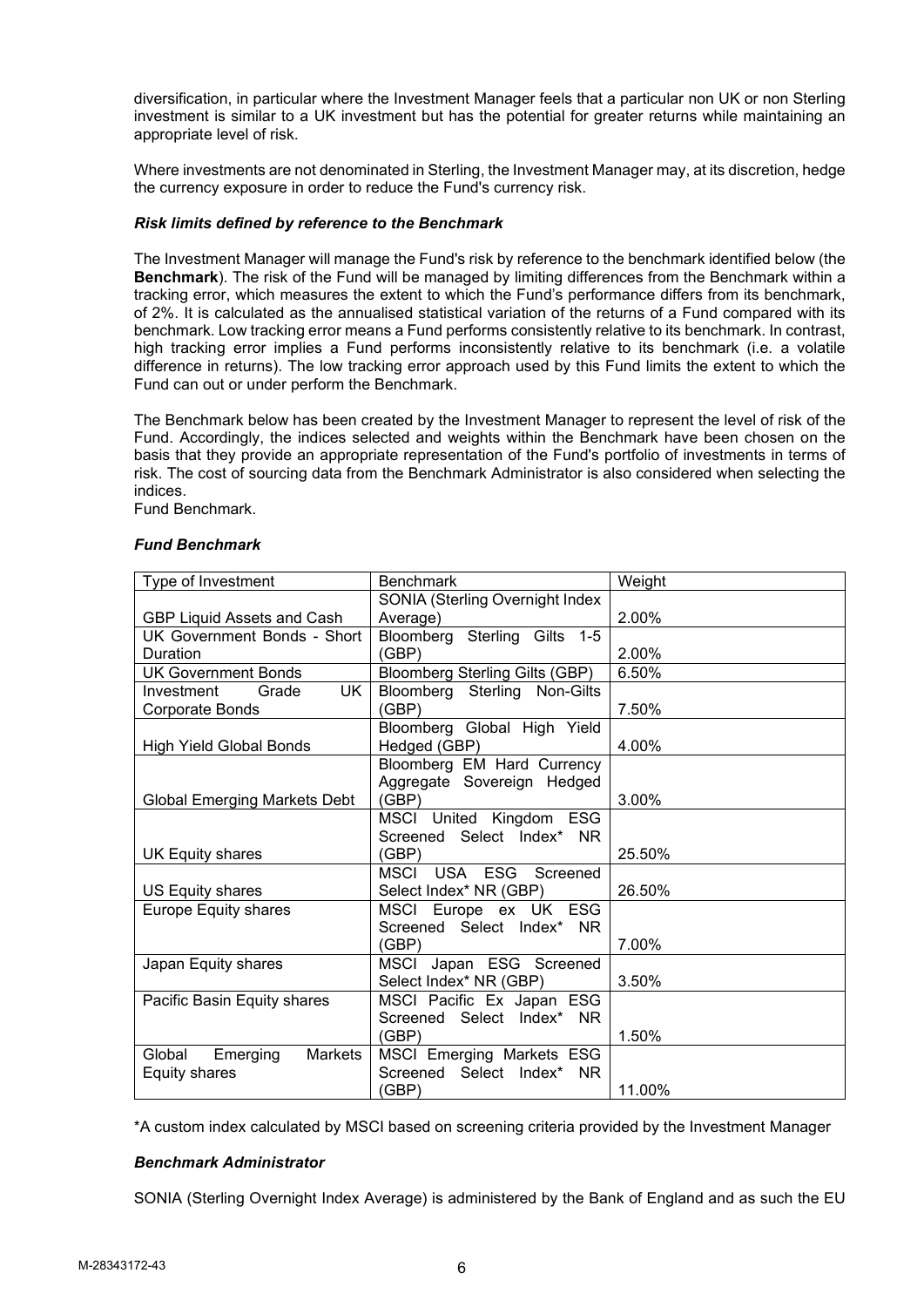diversification, in particular where the Investment Manager feels that a particular non UK or non Sterling investment is similar to a UK investment but has the potential for greater returns while maintaining an appropriate level of risk.

Where investments are not denominated in Sterling, the Investment Manager may, at its discretion, hedge the currency exposure in order to reduce the Fund's currency risk.

### *Risk limits defined by reference to the Benchmark*

The Investment Manager will manage the Fund's risk by reference to the benchmark identified below (the **Benchmark**). The risk of the Fund will be managed by limiting differences from the Benchmark within a tracking error, which measures the extent to which the Fund's performance differs from its benchmark, of 2%. It is calculated as the annualised statistical variation of the returns of a Fund compared with its benchmark. Low tracking error means a Fund performs consistently relative to its benchmark. In contrast, high tracking error implies a Fund performs inconsistently relative to its benchmark (i.e. a volatile difference in returns). The low tracking error approach used by this Fund limits the extent to which the Fund can out or under perform the Benchmark.

The Benchmark below has been created by the Investment Manager to represent the level of risk of the Fund. Accordingly, the indices selected and weights within the Benchmark have been chosen on the basis that they provide an appropriate representation of the Fund's portfolio of investments in terms of risk. The cost of sourcing data from the Benchmark Administrator is also considered when selecting the indices.

Fund Benchmark.

| Type of Investment                  | <b>Benchmark</b>                       | Weight |
|-------------------------------------|----------------------------------------|--------|
|                                     | <b>SONIA (Sterling Overnight Index</b> |        |
| GBP Liquid Assets and Cash          | Average)                               | 2.00%  |
| UK Government Bonds - Short         | Bloomberg Sterling Gilts 1-5           |        |
| Duration                            | (GBP)                                  | 2.00%  |
| <b>UK Government Bonds</b>          | <b>Bloomberg Sterling Gilts (GBP)</b>  | 6.50%  |
| Grade<br>UK<br>Investment           | Bloomberg Sterling Non-Gilts           |        |
| Corporate Bonds                     | (GBP)                                  | 7.50%  |
|                                     | Bloomberg Global High Yield            |        |
| <b>High Yield Global Bonds</b>      | Hedged (GBP)                           | 4.00%  |
|                                     | Bloomberg EM Hard Currency             |        |
|                                     | Aggregate Sovereign Hedged             |        |
| <b>Global Emerging Markets Debt</b> | (GBP)                                  | 3.00%  |
|                                     | MSCI United Kingdom ESG                |        |
|                                     | Screened Select Index* NR              |        |
| UK Equity shares                    | (GBP)                                  | 25.50% |
|                                     | <b>MSCI</b><br>USA ESG Screened        |        |
| US Equity shares                    | Select Index* NR (GBP)                 | 26.50% |
| Europe Equity shares                | MSCI Europe ex UK ESG                  |        |
|                                     | Screened Select Index* NR              |        |
|                                     | (GBP)                                  | 7.00%  |
| Japan Equity shares                 | MSCI Japan ESG Screened                |        |
|                                     | Select Index* NR (GBP)                 | 3.50%  |
| Pacific Basin Equity shares         | MSCI Pacific Ex Japan ESG              |        |
|                                     | Screened Select Index* NR              |        |
|                                     | (GBP)                                  | 1.50%  |
| Global<br>Emerging<br>Markets       | MSCI Emerging Markets ESG              |        |
| <b>Equity shares</b>                | Screened Select Index*<br>NR.          |        |
|                                     | (GBP)                                  | 11.00% |

### *Fund Benchmark*

\*A custom index calculated by MSCI based on screening criteria provided by the Investment Manager

## *Benchmark Administrator*

SONIA (Sterling Overnight Index Average) is administered by the Bank of England and as such the EU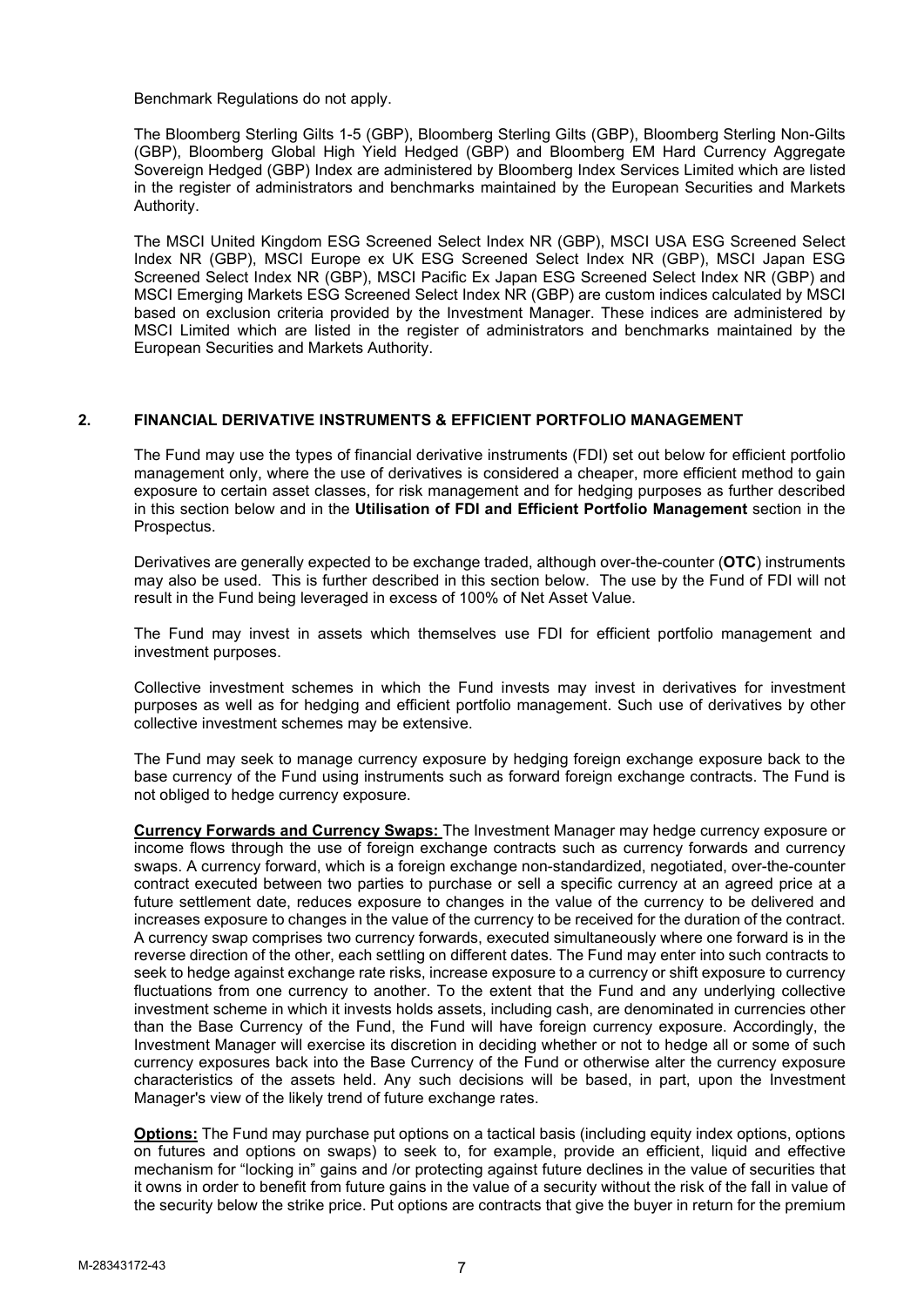Benchmark Regulations do not apply.

The Bloomberg Sterling Gilts 1-5 (GBP), Bloomberg Sterling Gilts (GBP), Bloomberg Sterling Non-Gilts (GBP), Bloomberg Global High Yield Hedged (GBP) and Bloomberg EM Hard Currency Aggregate Sovereign Hedged (GBP) Index are administered by Bloomberg Index Services Limited which are listed in the register of administrators and benchmarks maintained by the European Securities and Markets Authority.

The MSCI United Kingdom ESG Screened Select Index NR (GBP), MSCI USA ESG Screened Select Index NR (GBP), MSCI Europe ex UK ESG Screened Select Index NR (GBP), MSCI Japan ESG Screened Select Index NR (GBP), MSCI Pacific Ex Japan ESG Screened Select Index NR (GBP) and MSCI Emerging Markets ESG Screened Select Index NR (GBP) are custom indices calculated by MSCI based on exclusion criteria provided by the Investment Manager. These indices are administered by MSCI Limited which are listed in the register of administrators and benchmarks maintained by the European Securities and Markets Authority.

## **2. FINANCIAL DERIVATIVE INSTRUMENTS & EFFICIENT PORTFOLIO MANAGEMENT**

The Fund may use the types of financial derivative instruments (FDI) set out below for efficient portfolio management only, where the use of derivatives is considered a cheaper, more efficient method to gain exposure to certain asset classes, for risk management and for hedging purposes as further described in this section below and in the **Utilisation of FDI and Efficient Portfolio Management** section in the Prospectus.

Derivatives are generally expected to be exchange traded, although over-the-counter (**OTC**) instruments may also be used. This is further described in this section below. The use by the Fund of FDI will not result in the Fund being leveraged in excess of 100% of Net Asset Value.

The Fund may invest in assets which themselves use FDI for efficient portfolio management and investment purposes.

Collective investment schemes in which the Fund invests may invest in derivatives for investment purposes as well as for hedging and efficient portfolio management. Such use of derivatives by other collective investment schemes may be extensive.

The Fund may seek to manage currency exposure by hedging foreign exchange exposure back to the base currency of the Fund using instruments such as forward foreign exchange contracts. The Fund is not obliged to hedge currency exposure.

**Currency Forwards and Currency Swaps:** The Investment Manager may hedge currency exposure or income flows through the use of foreign exchange contracts such as currency forwards and currency swaps. A currency forward, which is a foreign exchange non-standardized, negotiated, over-the-counter contract executed between two parties to purchase or sell a specific currency at an agreed price at a future settlement date, reduces exposure to changes in the value of the currency to be delivered and increases exposure to changes in the value of the currency to be received for the duration of the contract. A currency swap comprises two currency forwards, executed simultaneously where one forward is in the reverse direction of the other, each settling on different dates. The Fund may enter into such contracts to seek to hedge against exchange rate risks, increase exposure to a currency or shift exposure to currency fluctuations from one currency to another. To the extent that the Fund and any underlying collective investment scheme in which it invests holds assets, including cash, are denominated in currencies other than the Base Currency of the Fund, the Fund will have foreign currency exposure. Accordingly, the Investment Manager will exercise its discretion in deciding whether or not to hedge all or some of such currency exposures back into the Base Currency of the Fund or otherwise alter the currency exposure characteristics of the assets held. Any such decisions will be based, in part, upon the Investment Manager's view of the likely trend of future exchange rates.

**Options:** The Fund may purchase put options on a tactical basis (including equity index options, options on futures and options on swaps) to seek to, for example, provide an efficient, liquid and effective mechanism for "locking in" gains and /or protecting against future declines in the value of securities that it owns in order to benefit from future gains in the value of a security without the risk of the fall in value of the security below the strike price. Put options are contracts that give the buyer in return for the premium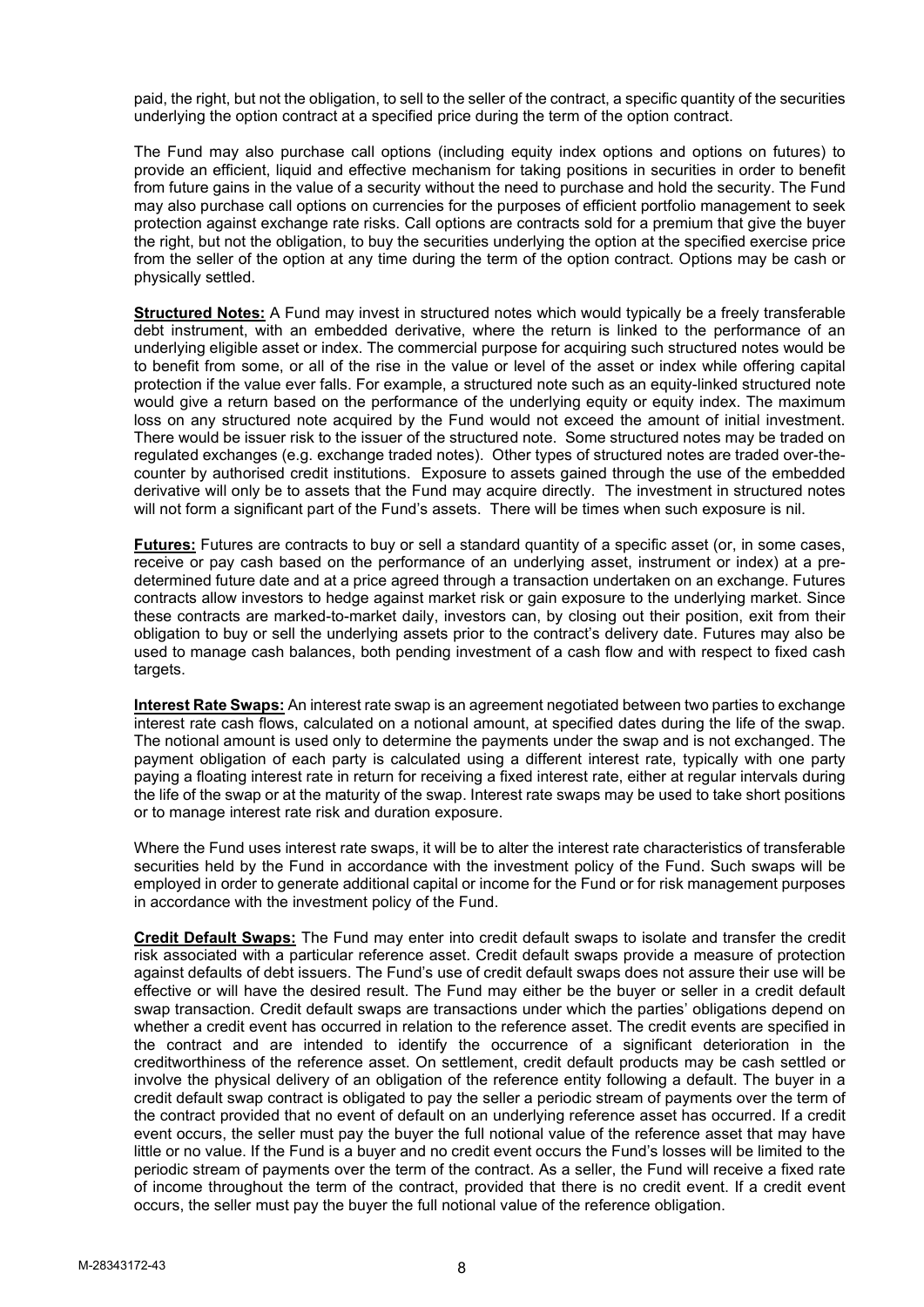paid, the right, but not the obligation, to sell to the seller of the contract, a specific quantity of the securities underlying the option contract at a specified price during the term of the option contract.

The Fund may also purchase call options (including equity index options and options on futures) to provide an efficient, liquid and effective mechanism for taking positions in securities in order to benefit from future gains in the value of a security without the need to purchase and hold the security. The Fund may also purchase call options on currencies for the purposes of efficient portfolio management to seek protection against exchange rate risks. Call options are contracts sold for a premium that give the buyer the right, but not the obligation, to buy the securities underlying the option at the specified exercise price from the seller of the option at any time during the term of the option contract. Options may be cash or physically settled.

**Structured Notes:** A Fund may invest in structured notes which would typically be a freely transferable debt instrument, with an embedded derivative, where the return is linked to the performance of an underlying eligible asset or index. The commercial purpose for acquiring such structured notes would be to benefit from some, or all of the rise in the value or level of the asset or index while offering capital protection if the value ever falls. For example, a structured note such as an equity-linked structured note would give a return based on the performance of the underlying equity or equity index. The maximum loss on any structured note acquired by the Fund would not exceed the amount of initial investment. There would be issuer risk to the issuer of the structured note. Some structured notes may be traded on regulated exchanges (e.g. exchange traded notes). Other types of structured notes are traded over-thecounter by authorised credit institutions. Exposure to assets gained through the use of the embedded derivative will only be to assets that the Fund may acquire directly. The investment in structured notes will not form a significant part of the Fund's assets. There will be times when such exposure is nil.

**Futures:** Futures are contracts to buy or sell a standard quantity of a specific asset (or, in some cases, receive or pay cash based on the performance of an underlying asset, instrument or index) at a predetermined future date and at a price agreed through a transaction undertaken on an exchange. Futures contracts allow investors to hedge against market risk or gain exposure to the underlying market. Since these contracts are marked-to-market daily, investors can, by closing out their position, exit from their obligation to buy or sell the underlying assets prior to the contract's delivery date. Futures may also be used to manage cash balances, both pending investment of a cash flow and with respect to fixed cash targets.

**Interest Rate Swaps:** An interest rate swap is an agreement negotiated between two parties to exchange interest rate cash flows, calculated on a notional amount, at specified dates during the life of the swap. The notional amount is used only to determine the payments under the swap and is not exchanged. The payment obligation of each party is calculated using a different interest rate, typically with one party paying a floating interest rate in return for receiving a fixed interest rate, either at regular intervals during the life of the swap or at the maturity of the swap. Interest rate swaps may be used to take short positions or to manage interest rate risk and duration exposure.

Where the Fund uses interest rate swaps, it will be to alter the interest rate characteristics of transferable securities held by the Fund in accordance with the investment policy of the Fund. Such swaps will be employed in order to generate additional capital or income for the Fund or for risk management purposes in accordance with the investment policy of the Fund.

**Credit Default Swaps:** The Fund may enter into credit default swaps to isolate and transfer the credit risk associated with a particular reference asset. Credit default swaps provide a measure of protection against defaults of debt issuers. The Fund's use of credit default swaps does not assure their use will be effective or will have the desired result. The Fund may either be the buyer or seller in a credit default swap transaction. Credit default swaps are transactions under which the parties' obligations depend on whether a credit event has occurred in relation to the reference asset. The credit events are specified in the contract and are intended to identify the occurrence of a significant deterioration in the creditworthiness of the reference asset. On settlement, credit default products may be cash settled or involve the physical delivery of an obligation of the reference entity following a default. The buyer in a credit default swap contract is obligated to pay the seller a periodic stream of payments over the term of the contract provided that no event of default on an underlying reference asset has occurred. If a credit event occurs, the seller must pay the buyer the full notional value of the reference asset that may have little or no value. If the Fund is a buyer and no credit event occurs the Fund's losses will be limited to the periodic stream of payments over the term of the contract. As a seller, the Fund will receive a fixed rate of income throughout the term of the contract, provided that there is no credit event. If a credit event occurs, the seller must pay the buyer the full notional value of the reference obligation.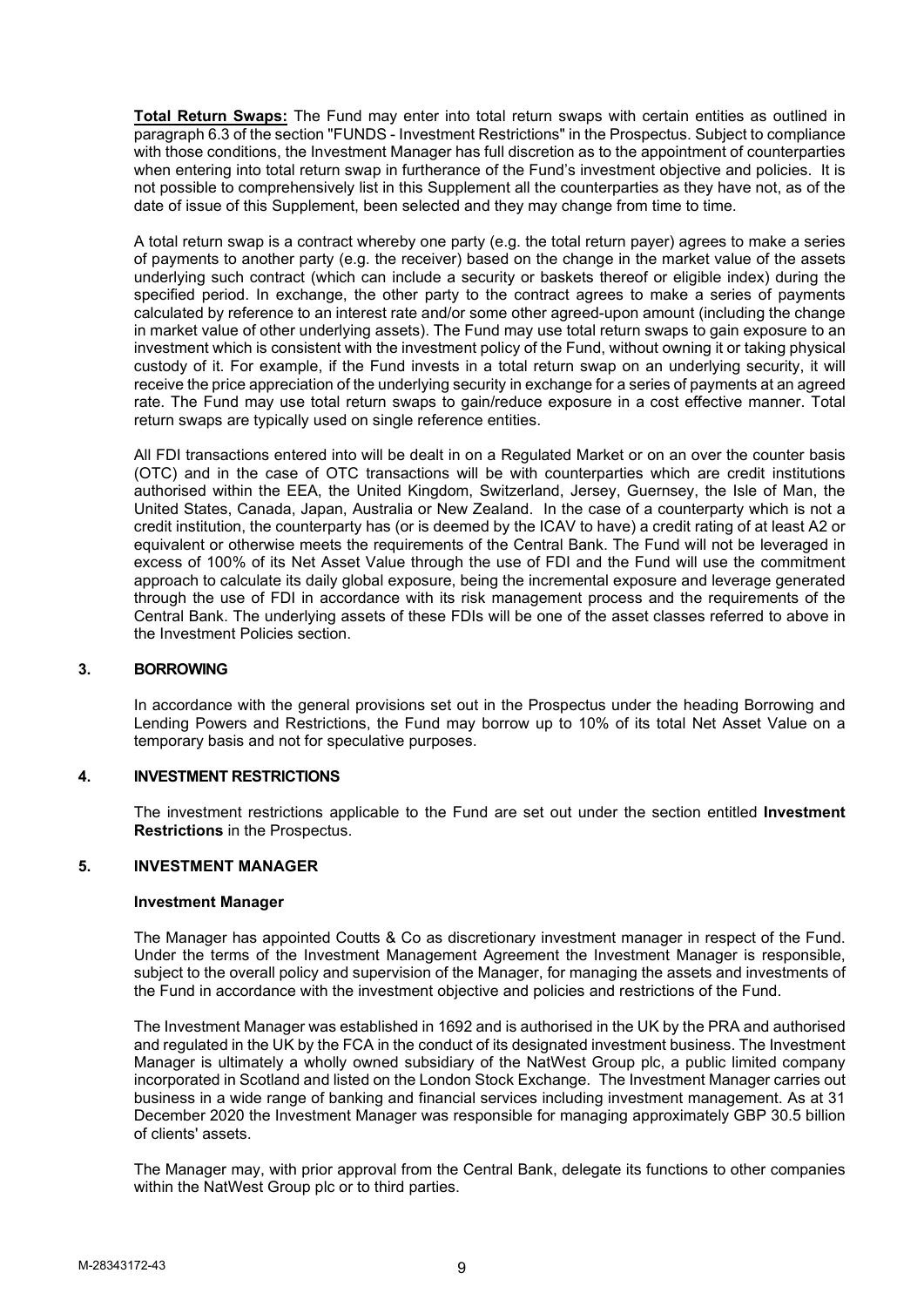**Total Return Swaps:** The Fund may enter into total return swaps with certain entities as outlined in paragraph 6.3 of the section "FUNDS - Investment Restrictions" in the Prospectus. Subject to compliance with those conditions, the Investment Manager has full discretion as to the appointment of counterparties when entering into total return swap in furtherance of the Fund's investment objective and policies. It is not possible to comprehensively list in this Supplement all the counterparties as they have not, as of the date of issue of this Supplement, been selected and they may change from time to time.

A total return swap is a contract whereby one party (e.g. the total return payer) agrees to make a series of payments to another party (e.g. the receiver) based on the change in the market value of the assets underlying such contract (which can include a security or baskets thereof or eligible index) during the specified period. In exchange, the other party to the contract agrees to make a series of payments calculated by reference to an interest rate and/or some other agreed-upon amount (including the change in market value of other underlying assets). The Fund may use total return swaps to gain exposure to an investment which is consistent with the investment policy of the Fund, without owning it or taking physical custody of it. For example, if the Fund invests in a total return swap on an underlying security, it will receive the price appreciation of the underlying security in exchange for a series of payments at an agreed rate. The Fund may use total return swaps to gain/reduce exposure in a cost effective manner. Total return swaps are typically used on single reference entities.

All FDI transactions entered into will be dealt in on a Regulated Market or on an over the counter basis (OTC) and in the case of OTC transactions will be with counterparties which are credit institutions authorised within the EEA, the United Kingdom, Switzerland, Jersey, Guernsey, the Isle of Man, the United States, Canada, Japan, Australia or New Zealand. In the case of a counterparty which is not a credit institution, the counterparty has (or is deemed by the ICAV to have) a credit rating of at least A2 or equivalent or otherwise meets the requirements of the Central Bank. The Fund will not be leveraged in excess of 100% of its Net Asset Value through the use of FDI and the Fund will use the commitment approach to calculate its daily global exposure, being the incremental exposure and leverage generated through the use of FDI in accordance with its risk management process and the requirements of the Central Bank. The underlying assets of these FDIs will be one of the asset classes referred to above in the Investment Policies section.

### **3. BORROWING**

In accordance with the general provisions set out in the Prospectus under the heading Borrowing and Lending Powers and Restrictions, the Fund may borrow up to 10% of its total Net Asset Value on a temporary basis and not for speculative purposes.

### **4. INVESTMENT RESTRICTIONS**

The investment restrictions applicable to the Fund are set out under the section entitled **Investment Restrictions** in the Prospectus.

### **5. INVESTMENT MANAGER**

#### **Investment Manager**

The Manager has appointed Coutts & Co as discretionary investment manager in respect of the Fund. Under the terms of the Investment Management Agreement the Investment Manager is responsible, subject to the overall policy and supervision of the Manager, for managing the assets and investments of the Fund in accordance with the investment objective and policies and restrictions of the Fund.

The Investment Manager was established in 1692 and is authorised in the UK by the PRA and authorised and regulated in the UK by the FCA in the conduct of its designated investment business. The Investment Manager is ultimately a wholly owned subsidiary of the NatWest Group plc, a public limited company incorporated in Scotland and listed on the London Stock Exchange. The Investment Manager carries out business in a wide range of banking and financial services including investment management. As at 31 December 2020 the Investment Manager was responsible for managing approximately GBP 30.5 billion of clients' assets.

The Manager may, with prior approval from the Central Bank, delegate its functions to other companies within the NatWest Group plc or to third parties.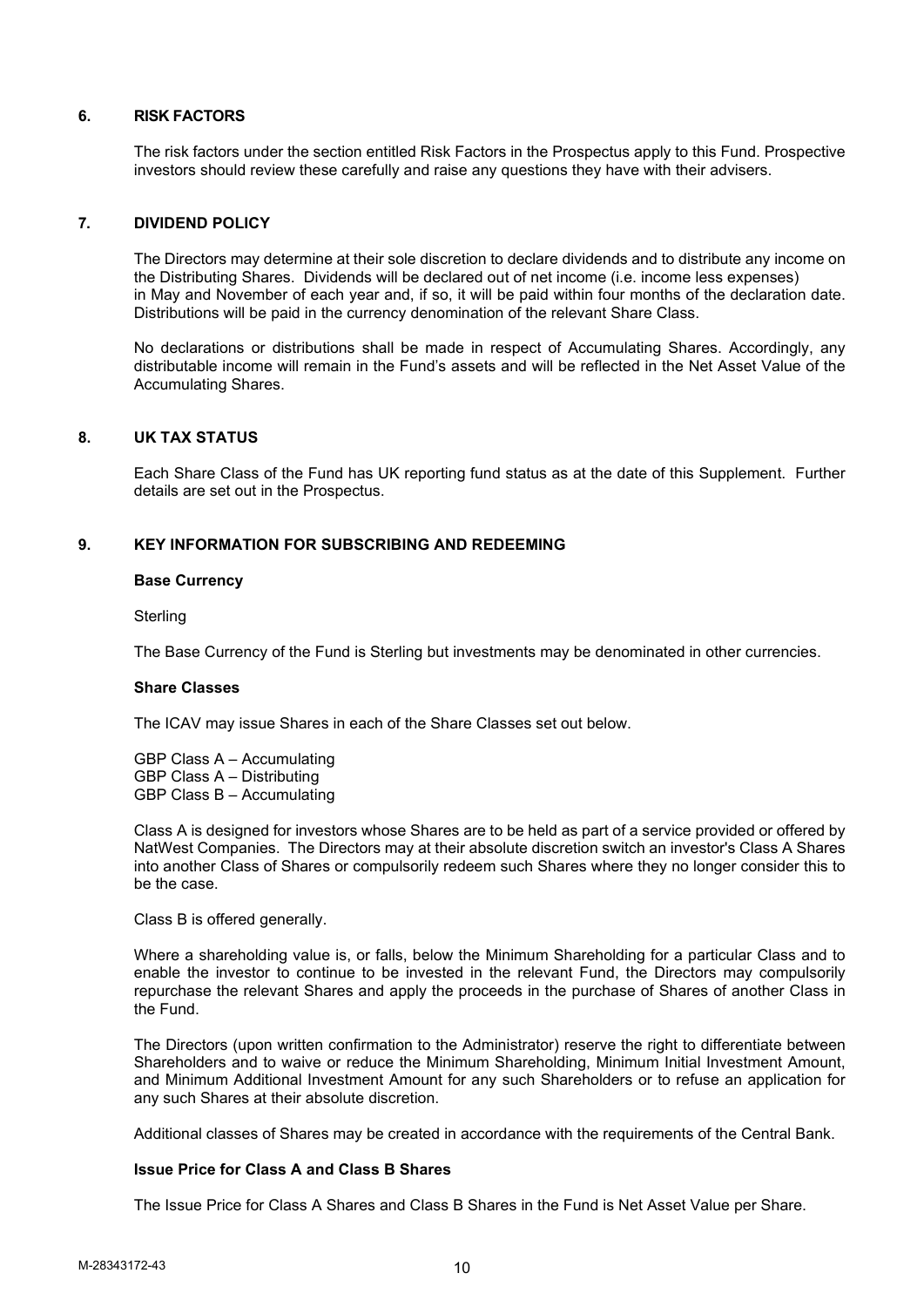### **6. RISK FACTORS**

The risk factors under the section entitled Risk Factors in the Prospectus apply to this Fund. Prospective investors should review these carefully and raise any questions they have with their advisers.

### **7. DIVIDEND POLICY**

The Directors may determine at their sole discretion to declare dividends and to distribute any income on the Distributing Shares. Dividends will be declared out of net income (i.e. income less expenses) in May and November of each year and, if so, it will be paid within four months of the declaration date. Distributions will be paid in the currency denomination of the relevant Share Class.

No declarations or distributions shall be made in respect of Accumulating Shares. Accordingly, any distributable income will remain in the Fund's assets and will be reflected in the Net Asset Value of the Accumulating Shares.

### **8. UK TAX STATUS**

Each Share Class of the Fund has UK reporting fund status as at the date of this Supplement. Further details are set out in the Prospectus.

### **9. KEY INFORMATION FOR SUBSCRIBING AND REDEEMING**

### **Base Currency**

**Sterling** 

The Base Currency of the Fund is Sterling but investments may be denominated in other currencies.

### **Share Classes**

The ICAV may issue Shares in each of the Share Classes set out below.

GBP Class A – Accumulating GBP Class A – Distributing GBP Class B – Accumulating

Class A is designed for investors whose Shares are to be held as part of a service provided or offered by NatWest Companies. The Directors may at their absolute discretion switch an investor's Class A Shares into another Class of Shares or compulsorily redeem such Shares where they no longer consider this to be the case.

### Class B is offered generally.

Where a shareholding value is, or falls, below the Minimum Shareholding for a particular Class and to enable the investor to continue to be invested in the relevant Fund, the Directors may compulsorily repurchase the relevant Shares and apply the proceeds in the purchase of Shares of another Class in the Fund.

The Directors (upon written confirmation to the Administrator) reserve the right to differentiate between Shareholders and to waive or reduce the Minimum Shareholding, Minimum Initial Investment Amount, and Minimum Additional Investment Amount for any such Shareholders or to refuse an application for any such Shares at their absolute discretion.

Additional classes of Shares may be created in accordance with the requirements of the Central Bank.

### **Issue Price for Class A and Class B Shares**

The Issue Price for Class A Shares and Class B Shares in the Fund is Net Asset Value per Share.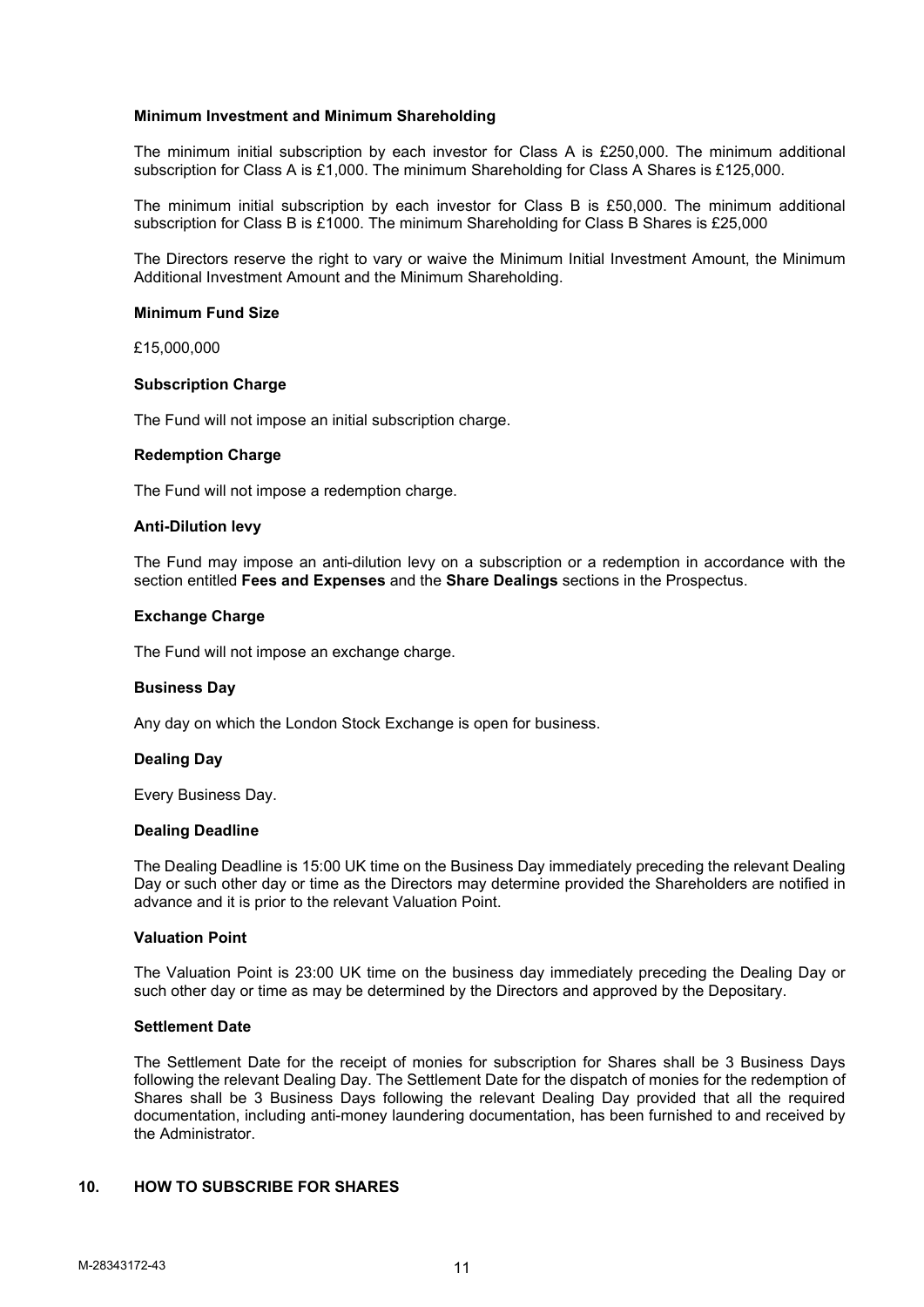### **Minimum Investment and Minimum Shareholding**

The minimum initial subscription by each investor for Class A is £250,000. The minimum additional subscription for Class A is £1,000. The minimum Shareholding for Class A Shares is £125,000.

The minimum initial subscription by each investor for Class B is £50,000. The minimum additional subscription for Class B is £1000. The minimum Shareholding for Class B Shares is £25,000

The Directors reserve the right to vary or waive the Minimum Initial Investment Amount, the Minimum Additional Investment Amount and the Minimum Shareholding.

### **Minimum Fund Size**

£15,000,000

### **Subscription Charge**

The Fund will not impose an initial subscription charge.

### **Redemption Charge**

The Fund will not impose a redemption charge.

### **Anti-Dilution levy**

The Fund may impose an anti-dilution levy on a subscription or a redemption in accordance with the section entitled **Fees and Expenses** and the **Share Dealings** sections in the Prospectus.

### **Exchange Charge**

The Fund will not impose an exchange charge.

### **Business Day**

Any day on which the London Stock Exchange is open for business.

### **Dealing Day**

Every Business Day.

### **Dealing Deadline**

The Dealing Deadline is 15:00 UK time on the Business Day immediately preceding the relevant Dealing Day or such other day or time as the Directors may determine provided the Shareholders are notified in advance and it is prior to the relevant Valuation Point.

### **Valuation Point**

The Valuation Point is 23:00 UK time on the business day immediately preceding the Dealing Day or such other day or time as may be determined by the Directors and approved by the Depositary.

### **Settlement Date**

The Settlement Date for the receipt of monies for subscription for Shares shall be 3 Business Days following the relevant Dealing Day. The Settlement Date for the dispatch of monies for the redemption of Shares shall be 3 Business Days following the relevant Dealing Day provided that all the required documentation, including anti-money laundering documentation, has been furnished to and received by the Administrator.

## **10. HOW TO SUBSCRIBE FOR SHARES**